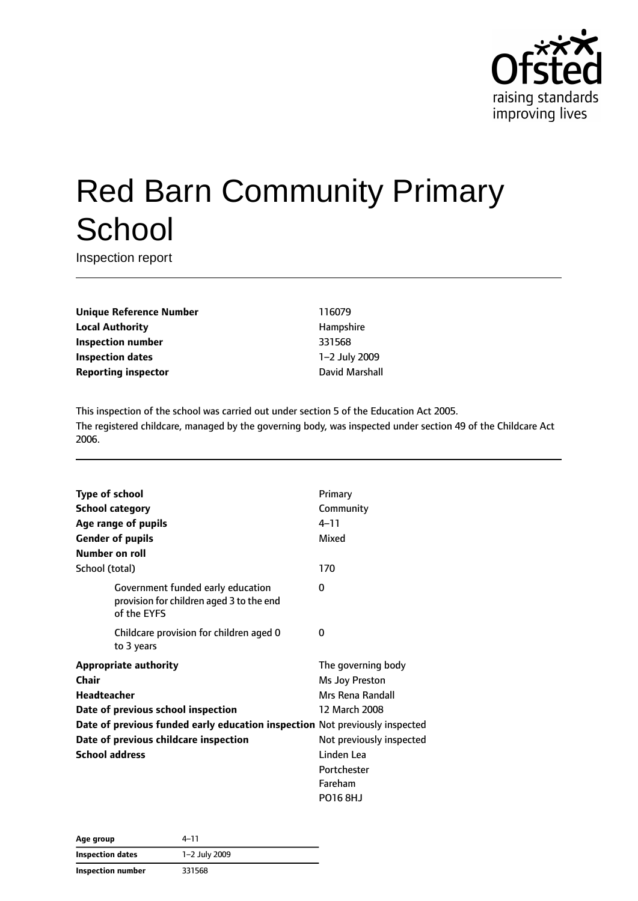

# Red Barn Community Primary **School**

Inspection report

**Unique Reference Number** 116079 **Local Authority Hampshire Inspection number** 331568 **Inspection dates** 1–2 July 2009 **Reporting inspector Contract Contract Contract Contract Contract Contract Contract Contract Contract Contract Contract Contract Contract Contract Contract Contract Contract Contract Contract Contract Contract Contract C** 

This inspection of the school was carried out under section 5 of the Education Act 2005. The registered childcare, managed by the governing body, was inspected under section 49 of the Childcare Act 2006.

| <b>Type of school</b>                                                       |                                                                                              | Primary                  |
|-----------------------------------------------------------------------------|----------------------------------------------------------------------------------------------|--------------------------|
| <b>School category</b>                                                      |                                                                                              | Community                |
|                                                                             | Age range of pupils                                                                          | $4 - 11$                 |
| <b>Gender of pupils</b>                                                     |                                                                                              | Mixed                    |
| Number on roll                                                              |                                                                                              |                          |
| School (total)                                                              |                                                                                              | 170                      |
|                                                                             |                                                                                              |                          |
|                                                                             | Government funded early education<br>provision for children aged 3 to the end<br>of the EYFS | 0                        |
|                                                                             | Childcare provision for children aged 0<br>to 3 years                                        | 0                        |
|                                                                             | <b>Appropriate authority</b>                                                                 | The governing body       |
| Chair                                                                       |                                                                                              | Ms Joy Preston           |
| <b>Headteacher</b>                                                          |                                                                                              | Mrs Rena Randall         |
|                                                                             | Date of previous school inspection                                                           | 12 March 2008            |
| Date of previous funded early education inspection Not previously inspected |                                                                                              |                          |
|                                                                             | Date of previous childcare inspection                                                        | Not previously inspected |
| <b>School address</b>                                                       |                                                                                              | Linden Lea               |
|                                                                             |                                                                                              | Portchester              |
|                                                                             |                                                                                              | Fareham                  |
|                                                                             |                                                                                              | <b>PO16 8HJ</b>          |

| Age group         | 4–11          |  |
|-------------------|---------------|--|
| Inspection dates  | 1-2 July 2009 |  |
| Inspection number | 331568        |  |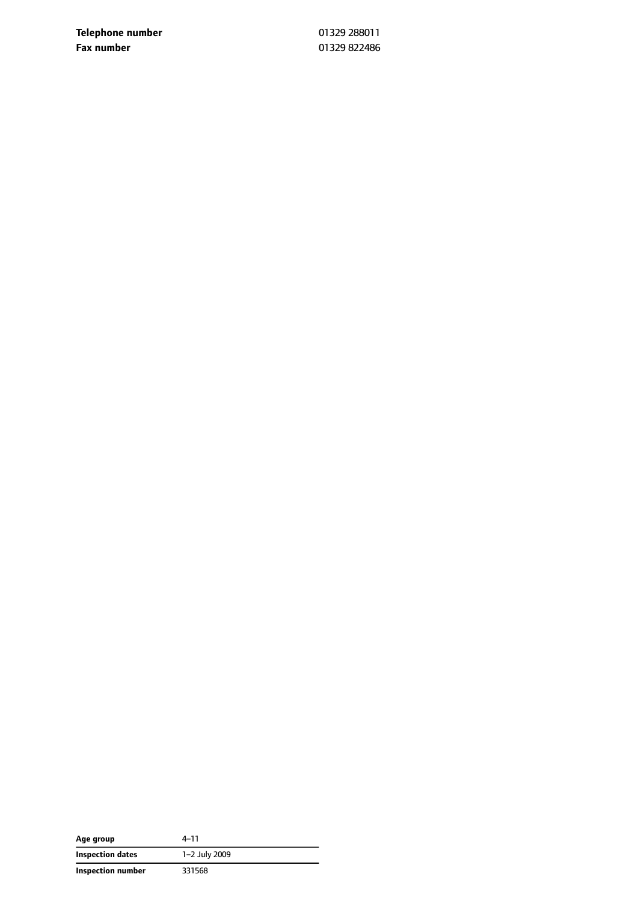**Telephone number** 01329 288011 **Fax number** 01329 822486

| Age group         | 4–11          |
|-------------------|---------------|
| Inspection dates  | 1-2 July 2009 |
| Inspection number | 331568        |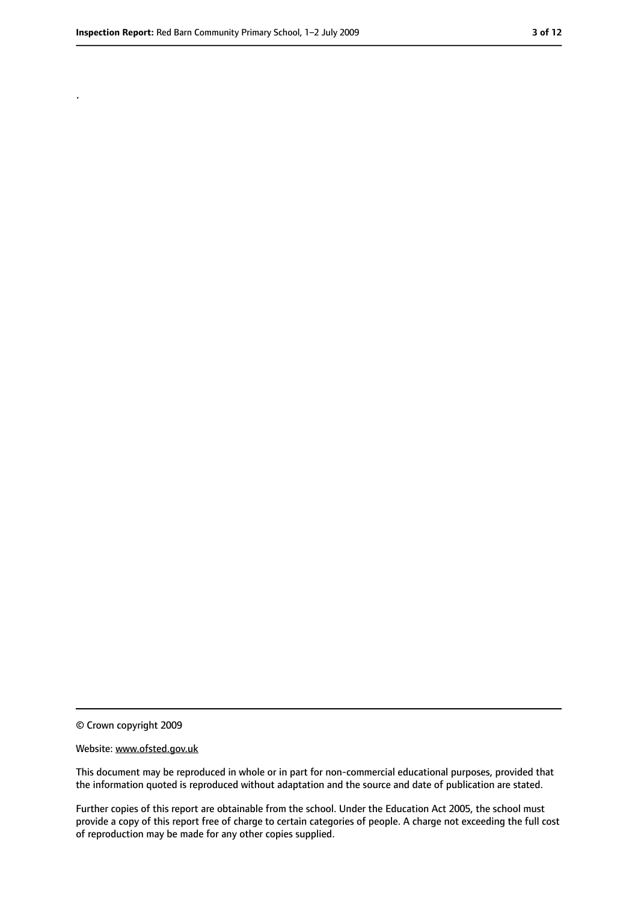.

<sup>©</sup> Crown copyright 2009

Website: www.ofsted.gov.uk

This document may be reproduced in whole or in part for non-commercial educational purposes, provided that the information quoted is reproduced without adaptation and the source and date of publication are stated.

Further copies of this report are obtainable from the school. Under the Education Act 2005, the school must provide a copy of this report free of charge to certain categories of people. A charge not exceeding the full cost of reproduction may be made for any other copies supplied.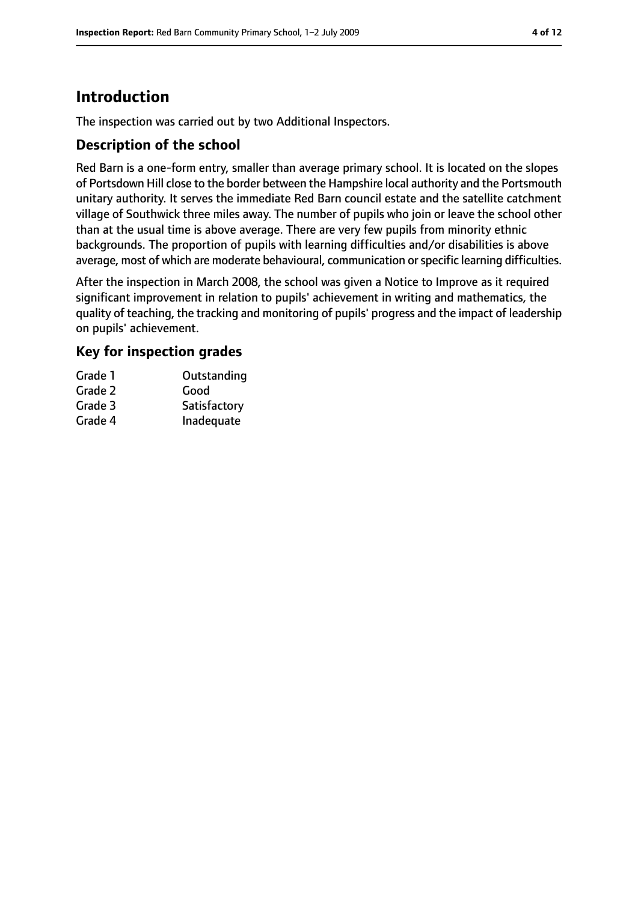## **Introduction**

The inspection was carried out by two Additional Inspectors.

#### **Description of the school**

Red Barn is a one-form entry, smaller than average primary school. It is located on the slopes of Portsdown Hill close to the border between the Hampshire local authority and the Portsmouth unitary authority. It serves the immediate Red Barn council estate and the satellite catchment village of Southwick three miles away. The number of pupils who join or leave the school other than at the usual time is above average. There are very few pupils from minority ethnic backgrounds. The proportion of pupils with learning difficulties and/or disabilities is above average, most of which are moderate behavioural, communication or specific learning difficulties.

After the inspection in March 2008, the school was given a Notice to Improve as it required significant improvement in relation to pupils' achievement in writing and mathematics, the quality of teaching, the tracking and monitoring of pupils' progress and the impact of leadership on pupils' achievement.

#### **Key for inspection grades**

| Grade 1 | Outstanding  |
|---------|--------------|
| Grade 2 | Good         |
| Grade 3 | Satisfactory |
| Grade 4 | Inadequate   |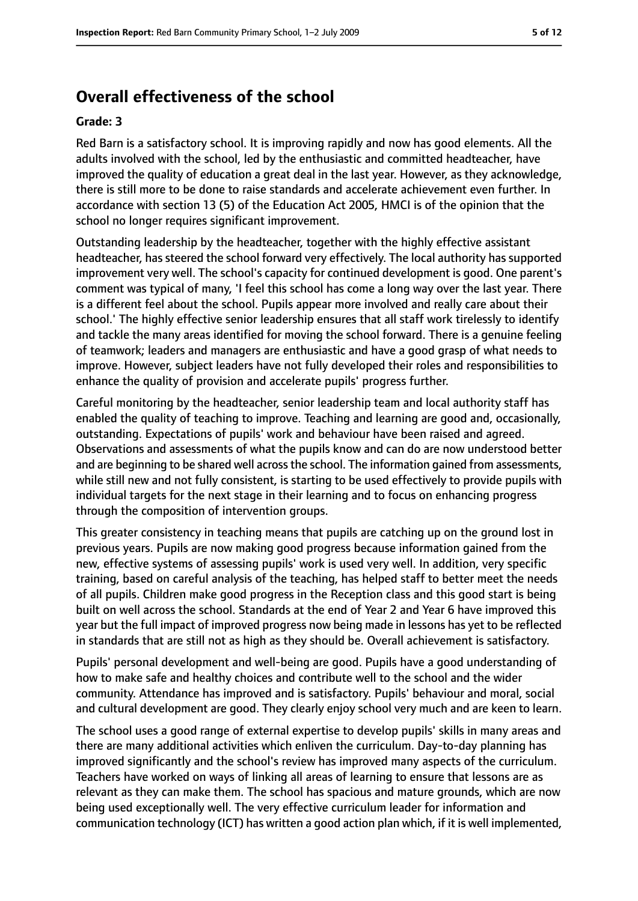## **Overall effectiveness of the school**

#### **Grade: 3**

Red Barn is a satisfactory school. It is improving rapidly and now has good elements. All the adults involved with the school, led by the enthusiastic and committed headteacher, have improved the quality of education a great deal in the last year. However, as they acknowledge, there is still more to be done to raise standards and accelerate achievement even further. In accordance with section 13 (5) of the Education Act 2005, HMCI is of the opinion that the school no longer requires significant improvement.

Outstanding leadership by the headteacher, together with the highly effective assistant headteacher, has steered the school forward very effectively. The local authority has supported improvement very well. The school's capacity for continued development is good. One parent's comment was typical of many, 'I feel this school has come a long way over the last year. There is a different feel about the school. Pupils appear more involved and really care about their school.' The highly effective senior leadership ensures that all staff work tirelessly to identify and tackle the many areas identified for moving the school forward. There is a genuine feeling of teamwork; leaders and managers are enthusiastic and have a good grasp of what needs to improve. However, subject leaders have not fully developed their roles and responsibilities to enhance the quality of provision and accelerate pupils' progress further.

Careful monitoring by the headteacher, senior leadership team and local authority staff has enabled the quality of teaching to improve. Teaching and learning are good and, occasionally, outstanding. Expectations of pupils' work and behaviour have been raised and agreed. Observations and assessments of what the pupils know and can do are now understood better and are beginning to be shared well across the school. The information gained from assessments, while still new and not fully consistent, is starting to be used effectively to provide pupils with individual targets for the next stage in their learning and to focus on enhancing progress through the composition of intervention groups.

This greater consistency in teaching means that pupils are catching up on the ground lost in previous years. Pupils are now making good progress because information gained from the new, effective systems of assessing pupils' work is used very well. In addition, very specific training, based on careful analysis of the teaching, has helped staff to better meet the needs of all pupils. Children make good progress in the Reception class and this good start is being built on well across the school. Standards at the end of Year 2 and Year 6 have improved this year but the full impact of improved progress now being made in lessons has yet to be reflected in standards that are still not as high as they should be. Overall achievement is satisfactory.

Pupils' personal development and well-being are good. Pupils have a good understanding of how to make safe and healthy choices and contribute well to the school and the wider community. Attendance has improved and is satisfactory. Pupils' behaviour and moral, social and cultural development are good. They clearly enjoy school very much and are keen to learn.

The school uses a good range of external expertise to develop pupils' skills in many areas and there are many additional activities which enliven the curriculum. Day-to-day planning has improved significantly and the school's review has improved many aspects of the curriculum. Teachers have worked on ways of linking all areas of learning to ensure that lessons are as relevant as they can make them. The school has spacious and mature grounds, which are now being used exceptionally well. The very effective curriculum leader for information and communication technology (ICT) has written a good action plan which, if it is well implemented,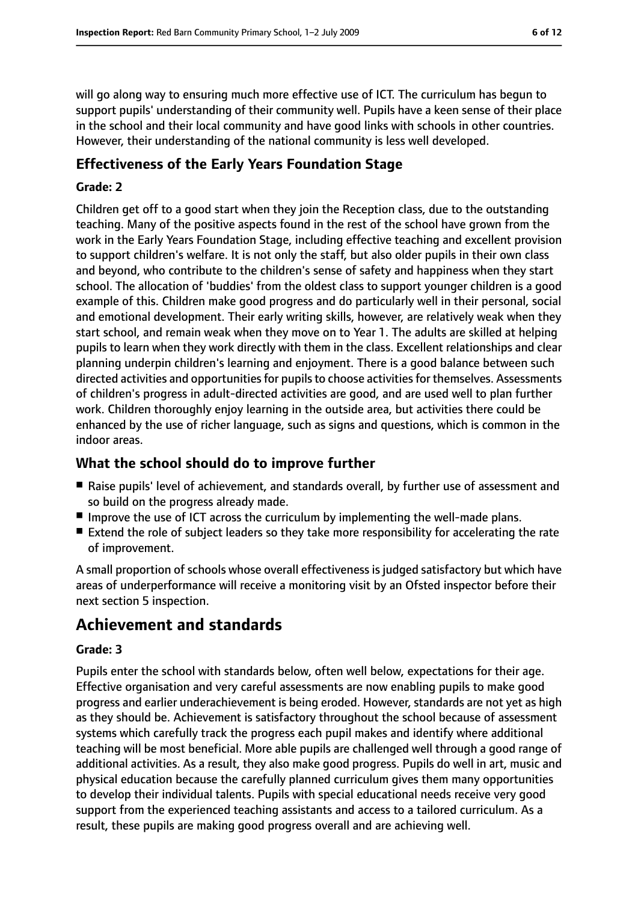will go along way to ensuring much more effective use of ICT. The curriculum has begun to support pupils' understanding of their community well. Pupils have a keen sense of their place in the school and their local community and have good links with schools in other countries. However, their understanding of the national community is less well developed.

#### **Effectiveness of the Early Years Foundation Stage**

#### **Grade: 2**

Children get off to a good start when they join the Reception class, due to the outstanding teaching. Many of the positive aspects found in the rest of the school have grown from the work in the Early Years Foundation Stage, including effective teaching and excellent provision to support children's welfare. It is not only the staff, but also older pupils in their own class and beyond, who contribute to the children's sense of safety and happiness when they start school. The allocation of 'buddies' from the oldest class to support younger children is a good example of this. Children make good progress and do particularly well in their personal, social and emotional development. Their early writing skills, however, are relatively weak when they start school, and remain weak when they move on to Year 1. The adults are skilled at helping pupils to learn when they work directly with them in the class. Excellent relationships and clear planning underpin children's learning and enjoyment. There is a good balance between such directed activities and opportunities for pupils to choose activities for themselves. Assessments of children's progress in adult-directed activities are good, and are used well to plan further work. Children thoroughly enjoy learning in the outside area, but activities there could be enhanced by the use of richer language, such as signs and questions, which is common in the indoor areas.

#### **What the school should do to improve further**

- Raise pupils' level of achievement, and standards overall, by further use of assessment and so build on the progress already made.
- Improve the use of ICT across the curriculum by implementing the well-made plans.
- Extend the role of subject leaders so they take more responsibility for accelerating the rate of improvement.

A small proportion of schools whose overall effectiveness is judged satisfactory but which have areas of underperformance will receive a monitoring visit by an Ofsted inspector before their next section 5 inspection.

## **Achievement and standards**

#### **Grade: 3**

Pupils enter the school with standards below, often well below, expectations for their age. Effective organisation and very careful assessments are now enabling pupils to make good progress and earlier underachievement is being eroded. However, standards are not yet as high as they should be. Achievement is satisfactory throughout the school because of assessment systems which carefully track the progress each pupil makes and identify where additional teaching will be most beneficial. More able pupils are challenged well through a good range of additional activities. As a result, they also make good progress. Pupils do well in art, music and physical education because the carefully planned curriculum gives them many opportunities to develop their individual talents. Pupils with special educational needs receive very good support from the experienced teaching assistants and access to a tailored curriculum. As a result, these pupils are making good progress overall and are achieving well.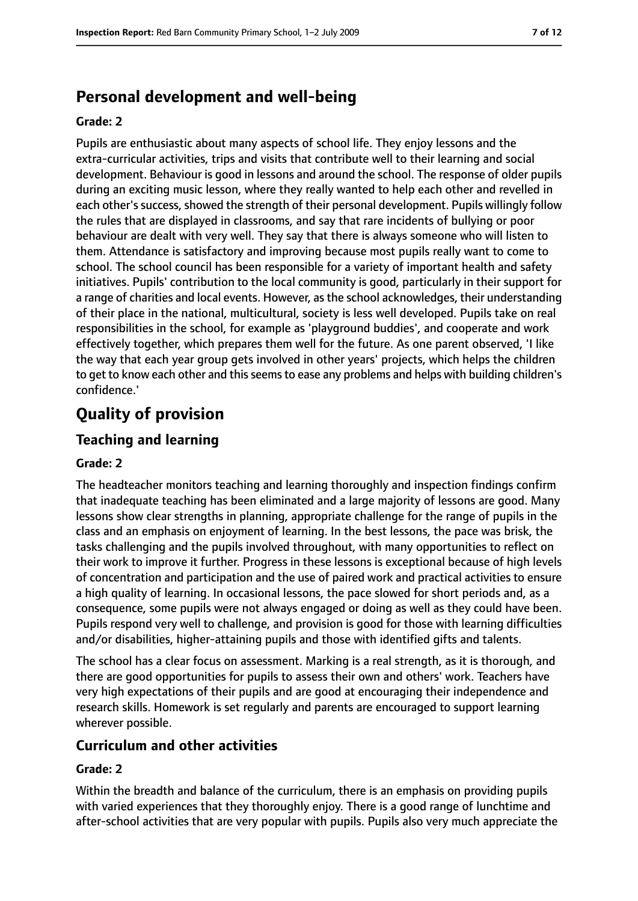## **Personal development and well-being**

#### **Grade: 2**

Pupils are enthusiastic about many aspects of school life. They enjoy lessons and the extra-curricular activities, trips and visits that contribute well to their learning and social development. Behaviour is good in lessons and around the school. The response of older pupils during an exciting music lesson, where they really wanted to help each other and revelled in each other's success, showed the strength of their personal development. Pupils willingly follow the rules that are displayed in classrooms, and say that rare incidents of bullying or poor behaviour are dealt with very well. They say that there is always someone who will listen to them. Attendance is satisfactory and improving because most pupils really want to come to school. The school council has been responsible for a variety of important health and safety initiatives. Pupils' contribution to the local community is good, particularly in their support for a range of charities and local events. However, as the school acknowledges, their understanding of their place in the national, multicultural, society is less well developed. Pupils take on real responsibilities in the school, for example as 'playground buddies', and cooperate and work effectively together, which prepares them well for the future. As one parent observed, 'I like the way that each year group gets involved in other years' projects, which helps the children to get to know each other and this seems to ease any problems and helps with building children's confidence.'

## **Quality of provision**

#### **Teaching and learning**

#### **Grade: 2**

The headteacher monitors teaching and learning thoroughly and inspection findings confirm that inadequate teaching has been eliminated and a large majority of lessons are good. Many lessons show clear strengths in planning, appropriate challenge for the range of pupils in the class and an emphasis on enjoyment of learning. In the best lessons, the pace was brisk, the tasks challenging and the pupils involved throughout, with many opportunities to reflect on their work to improve it further. Progress in these lessons is exceptional because of high levels of concentration and participation and the use of paired work and practical activities to ensure a high quality of learning. In occasional lessons, the pace slowed for short periods and, as a consequence, some pupils were not always engaged or doing as well as they could have been. Pupils respond very well to challenge, and provision is good for those with learning difficulties and/or disabilities, higher-attaining pupils and those with identified gifts and talents.

The school has a clear focus on assessment. Marking is a real strength, as it is thorough, and there are good opportunities for pupils to assess their own and others' work. Teachers have very high expectations of their pupils and are good at encouraging their independence and research skills. Homework is set regularly and parents are encouraged to support learning wherever possible.

#### **Curriculum and other activities**

#### **Grade: 2**

Within the breadth and balance of the curriculum, there is an emphasis on providing pupils with varied experiences that they thoroughly enjoy. There is a good range of lunchtime and after-school activities that are very popular with pupils. Pupils also very much appreciate the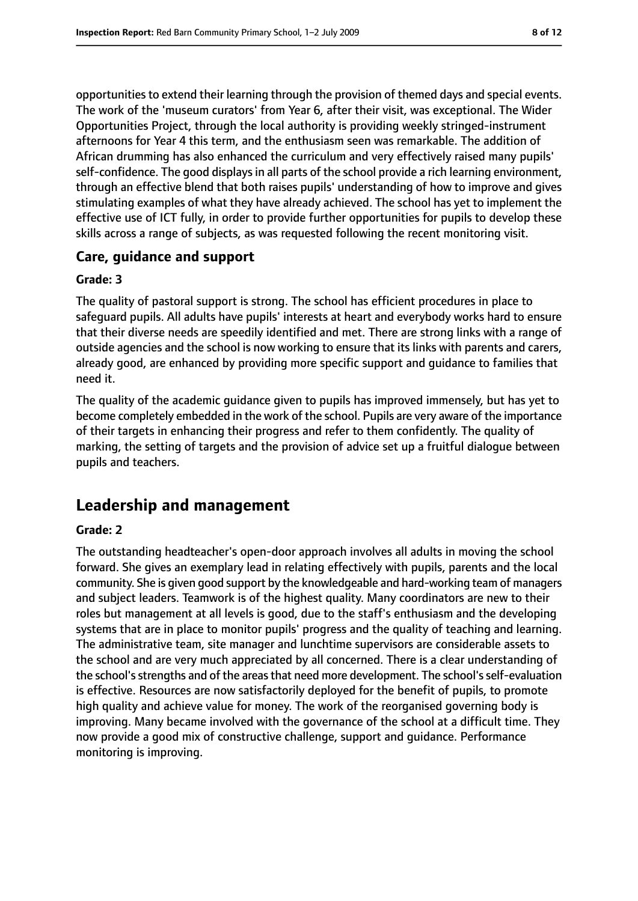opportunities to extend their learning through the provision of themed days and special events. The work of the 'museum curators' from Year 6, after their visit, was exceptional. The Wider Opportunities Project, through the local authority is providing weekly stringed-instrument afternoons for Year 4 this term, and the enthusiasm seen was remarkable. The addition of African drumming has also enhanced the curriculum and very effectively raised many pupils' self-confidence. The good displays in all parts of the school provide a rich learning environment, through an effective blend that both raises pupils' understanding of how to improve and gives stimulating examples of what they have already achieved. The school has yet to implement the effective use of ICT fully, in order to provide further opportunities for pupils to develop these skills across a range of subjects, as was requested following the recent monitoring visit.

#### **Care, guidance and support**

#### **Grade: 3**

The quality of pastoral support is strong. The school has efficient procedures in place to safeguard pupils. All adults have pupils' interests at heart and everybody works hard to ensure that their diverse needs are speedily identified and met. There are strong links with a range of outside agencies and the school is now working to ensure that its links with parents and carers, already good, are enhanced by providing more specific support and guidance to families that need it.

The quality of the academic guidance given to pupils has improved immensely, but has yet to become completely embedded in the work of the school. Pupils are very aware of the importance of their targets in enhancing their progress and refer to them confidently. The quality of marking, the setting of targets and the provision of advice set up a fruitful dialogue between pupils and teachers.

## **Leadership and management**

#### **Grade: 2**

The outstanding headteacher's open-door approach involves all adults in moving the school forward. She gives an exemplary lead in relating effectively with pupils, parents and the local community. She is given good support by the knowledgeable and hard-working team of managers and subject leaders. Teamwork is of the highest quality. Many coordinators are new to their roles but management at all levels is good, due to the staff's enthusiasm and the developing systems that are in place to monitor pupils' progress and the quality of teaching and learning. The administrative team, site manager and lunchtime supervisors are considerable assets to the school and are very much appreciated by all concerned. There is a clear understanding of the school's strengths and of the areas that need more development. The school's self-evaluation is effective. Resources are now satisfactorily deployed for the benefit of pupils, to promote high quality and achieve value for money. The work of the reorganised governing body is improving. Many became involved with the governance of the school at a difficult time. They now provide a good mix of constructive challenge, support and guidance. Performance monitoring is improving.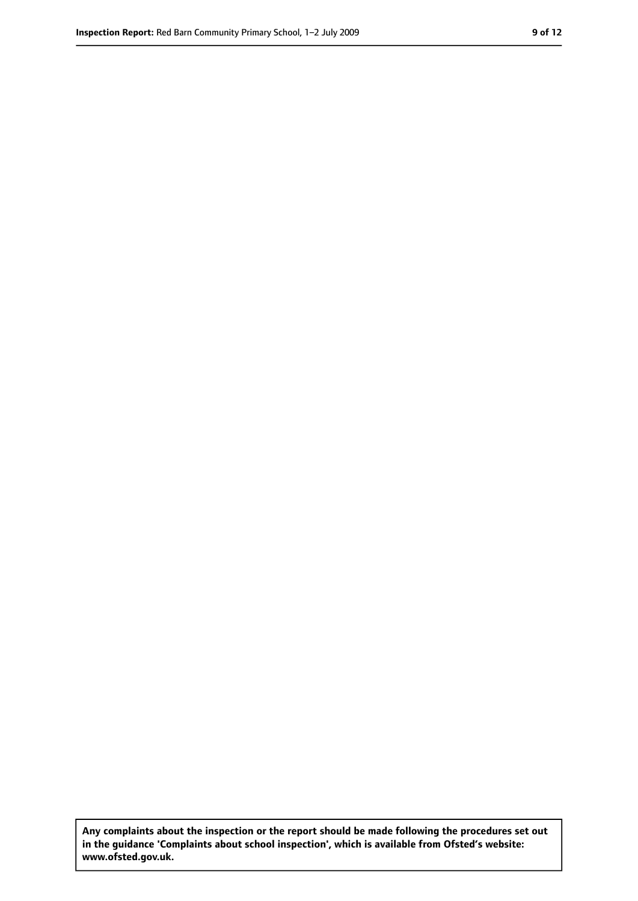**Any complaints about the inspection or the report should be made following the procedures set out in the guidance 'Complaints about school inspection', which is available from Ofsted's website: www.ofsted.gov.uk.**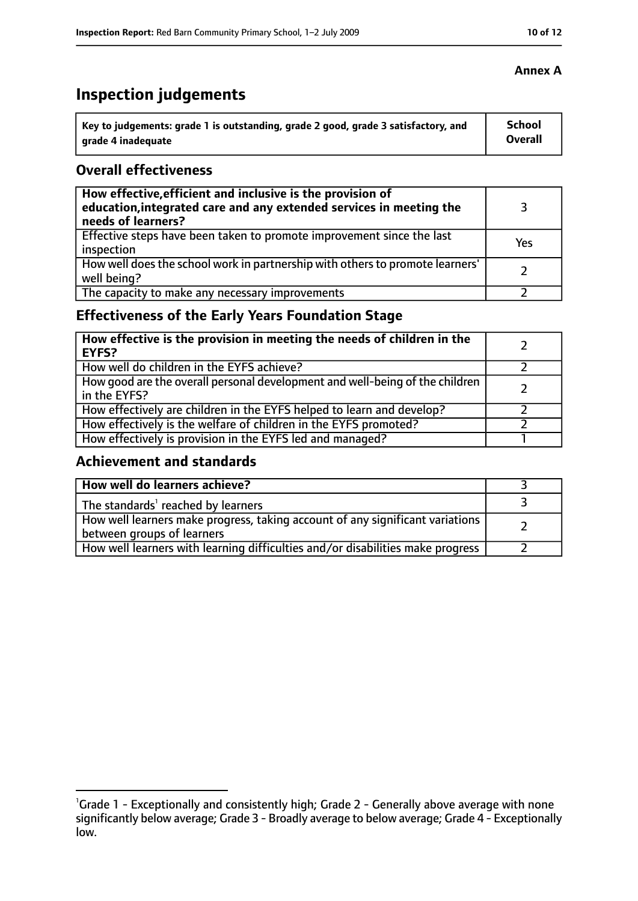## **Inspection judgements**

| Key to judgements: grade 1 is outstanding, grade 2 good, grade 3 satisfactory, and | <b>School</b> |
|------------------------------------------------------------------------------------|---------------|
| arade 4 inadequate                                                                 | Overall       |

#### **Overall effectiveness**

| How effective, efficient and inclusive is the provision of<br>education, integrated care and any extended services in meeting the<br>needs of learners? |     |
|---------------------------------------------------------------------------------------------------------------------------------------------------------|-----|
| Effective steps have been taken to promote improvement since the last<br>inspection                                                                     | Yes |
| How well does the school work in partnership with others to promote learners'<br>well being?                                                            |     |
| The capacity to make any necessary improvements                                                                                                         |     |

## **Effectiveness of the Early Years Foundation Stage**

| How effective is the provision in meeting the needs of children in the<br>EYFS?              |  |
|----------------------------------------------------------------------------------------------|--|
| How well do children in the EYFS achieve?                                                    |  |
| How good are the overall personal development and well-being of the children<br>in the EYFS? |  |
| How effectively are children in the EYFS helped to learn and develop?                        |  |
| How effectively is the welfare of children in the EYFS promoted?                             |  |
| How effectively is provision in the EYFS led and managed?                                    |  |

#### **Achievement and standards**

| How well do learners achieve?                                                                               |  |
|-------------------------------------------------------------------------------------------------------------|--|
| The standards <sup>1</sup> reached by learners                                                              |  |
| How well learners make progress, taking account of any significant variations<br>between groups of learners |  |
| How well learners with learning difficulties and/or disabilities make progress                              |  |

#### **Annex A**

<sup>&</sup>lt;sup>1</sup>Grade 1 - Exceptionally and consistently high; Grade 2 - Generally above average with none significantly below average; Grade 3 - Broadly average to below average; Grade 4 - Exceptionally low.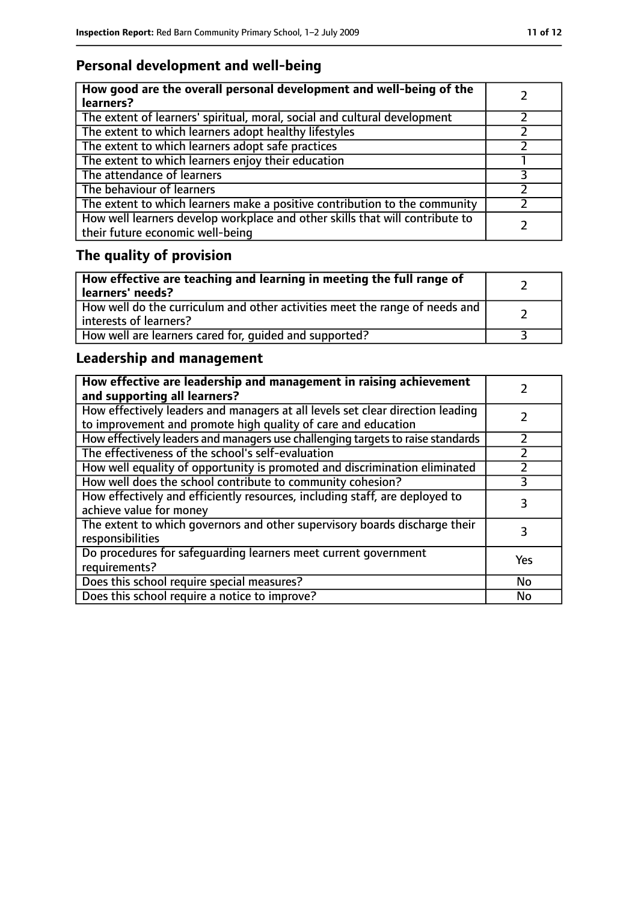## **Personal development and well-being**

| How good are the overall personal development and well-being of the<br>learners?                                 |  |
|------------------------------------------------------------------------------------------------------------------|--|
| The extent of learners' spiritual, moral, social and cultural development                                        |  |
| The extent to which learners adopt healthy lifestyles                                                            |  |
| The extent to which learners adopt safe practices                                                                |  |
| The extent to which learners enjoy their education                                                               |  |
| The attendance of learners                                                                                       |  |
| The behaviour of learners                                                                                        |  |
| The extent to which learners make a positive contribution to the community                                       |  |
| How well learners develop workplace and other skills that will contribute to<br>their future economic well-being |  |

## **The quality of provision**

| $\vert$ How effective are teaching and learning in meeting the full range of<br>  learners' needs?      |  |
|---------------------------------------------------------------------------------------------------------|--|
| How well do the curriculum and other activities meet the range of needs and<br>  interests of learners? |  |
| How well are learners cared for, quided and supported?                                                  |  |

## **Leadership and management**

| How effective are leadership and management in raising achievement<br>and supporting all learners?                                              |     |
|-------------------------------------------------------------------------------------------------------------------------------------------------|-----|
| How effectively leaders and managers at all levels set clear direction leading<br>to improvement and promote high quality of care and education |     |
| How effectively leaders and managers use challenging targets to raise standards                                                                 |     |
| The effectiveness of the school's self-evaluation                                                                                               |     |
| How well equality of opportunity is promoted and discrimination eliminated                                                                      |     |
| How well does the school contribute to community cohesion?                                                                                      | 3   |
| How effectively and efficiently resources, including staff, are deployed to<br>achieve value for money                                          | 3   |
| The extent to which governors and other supervisory boards discharge their<br>responsibilities                                                  |     |
| Do procedures for safequarding learners meet current government<br>requirements?                                                                | Yes |
| Does this school require special measures?                                                                                                      | No  |
| Does this school require a notice to improve?                                                                                                   | No  |